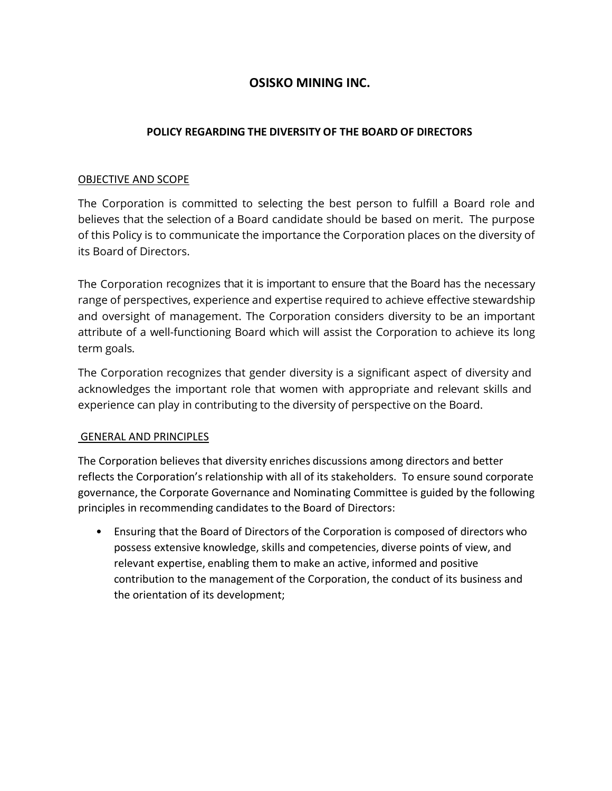# **OSISKO MINING INC.**

### **POLICY REGARDING THE DIVERSITY OF THE BOARD OF DIRECTORS**

#### OBJECTIVE AND SCOPE

The Corporation is committed to selecting the best person to fulfill a Board role and believes that the selection of a Board candidate should be based on merit. The purpose of this Policy is to communicate the importance the Corporation places on the diversity of its Board of Directors.

The Corporation recognizes that it is important to ensure that the Board has the necessary range of perspectives, experience and expertise required to achieve effective stewardship and oversight of management. The Corporation considers diversity to be an important attribute of a well-functioning Board which will assist the Corporation to achieve its long term goals.

The Corporation recognizes that gender diversity is a significant aspect of diversity and acknowledges the important role that women with appropriate and relevant skills and experience can play in contributing to the diversity of perspective on the Board.

#### GENERAL AND PRINCIPLES

The Corporation believes that diversity enriches discussions among directors and better reflects the Corporation's relationship with all of its stakeholders. To ensure sound corporate governance, the Corporate Governance and Nominating Committee is guided by the following principles in recommending candidates to the Board of Directors:

• Ensuring that the Board of Directors of the Corporation is composed of directors who possess extensive knowledge, skills and competencies, diverse points of view, and relevant expertise, enabling them to make an active, informed and positive contribution to the management of the Corporation, the conduct of its business and the orientation of its development;